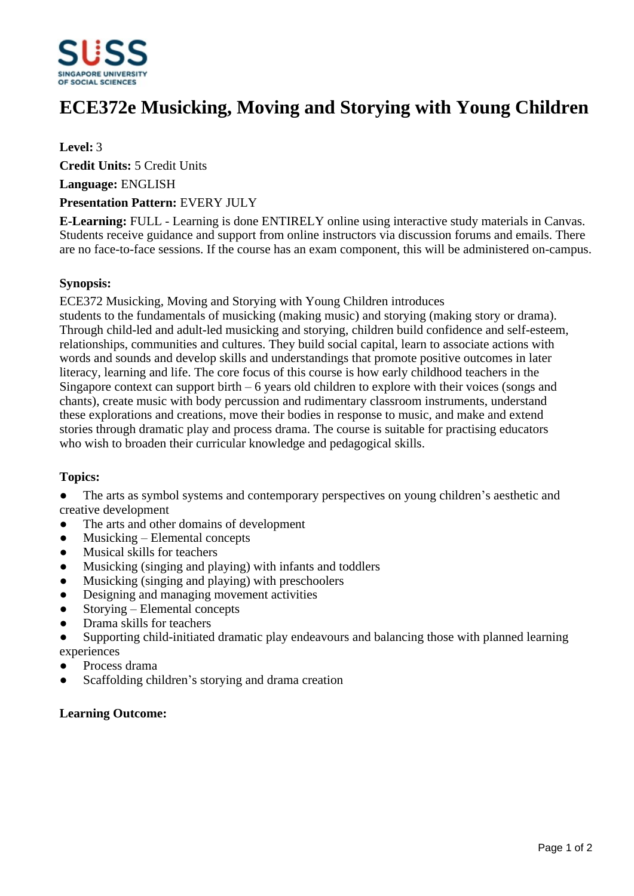

# **ECE372e Musicking, Moving and Storying with Young Children**

# **Level:** 3

**Credit Units:** 5 Credit Units

**Language:** ENGLISH

## **Presentation Pattern:** EVERY JULY

**E-Learning:** FULL - Learning is done ENTIRELY online using interactive study materials in Canvas. Students receive guidance and support from online instructors via discussion forums and emails. There are no face-to-face sessions. If the course has an exam component, this will be administered on-campus.

## **Synopsis:**

ECE372 Musicking, Moving and Storying with Young Children introduces

students to the fundamentals of musicking (making music) and storying (making story or drama). Through child-led and adult-led musicking and storying, children build confidence and self-esteem, relationships, communities and cultures. They build social capital, learn to associate actions with words and sounds and develop skills and understandings that promote positive outcomes in later literacy, learning and life. The core focus of this course is how early childhood teachers in the Singapore context can support birth  $-6$  years old children to explore with their voices (songs and chants), create music with body percussion and rudimentary classroom instruments, understand these explorations and creations, move their bodies in response to music, and make and extend stories through dramatic play and process drama. The course is suitable for practising educators who wish to broaden their curricular knowledge and pedagogical skills.

# **Topics:**

• The arts as symbol systems and contemporary perspectives on young children's aesthetic and creative development

- The arts and other domains of development
- $\bullet$  Musicking Elemental concepts
- ƔMusical skills for teachers
- Musicking (singing and playing) with infants and toddlers
- $\bullet$  Musicking (singing and playing) with preschoolers
- Designing and managing movement activities
- Storving Elemental concepts
- ƔDrama skills for teachers
- Supporting child-initiated dramatic play endeavours and balancing those with planned learning experiences
- ƔProcess drama
- Scaffolding children's storying and drama creation

#### **Learning Outcome:**